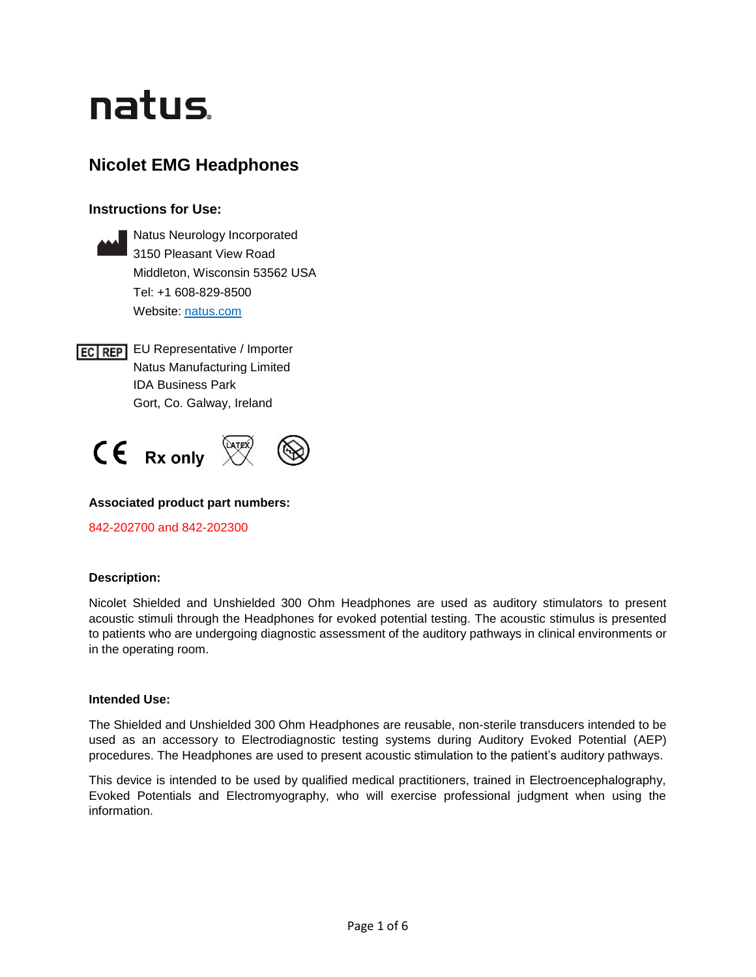# natus.

## **Nicolet EMG Headphones**

## **Instructions for Use:**



**ECTREP** EU Representative / Importer Natus Manufacturing Limited IDA Business Park Gort, Co. Galway, Ireland



## **Associated product part numbers:**

842-202700 and 842-202300

## **Description:**

Nicolet Shielded and Unshielded 300 Ohm Headphones are used as auditory stimulators to present acoustic stimuli through the Headphones for evoked potential testing. The acoustic stimulus is presented to patients who are undergoing diagnostic assessment of the auditory pathways in clinical environments or in the operating room.

## **Intended Use:**

The Shielded and Unshielded 300 Ohm Headphones are reusable, non-sterile transducers intended to be used as an accessory to Electrodiagnostic testing systems during Auditory Evoked Potential (AEP) procedures. The Headphones are used to present acoustic stimulation to the patient's auditory pathways.

This device is intended to be used by qualified medical practitioners, trained in Electroencephalography, Evoked Potentials and Electromyography, who will exercise professional judgment when using the information.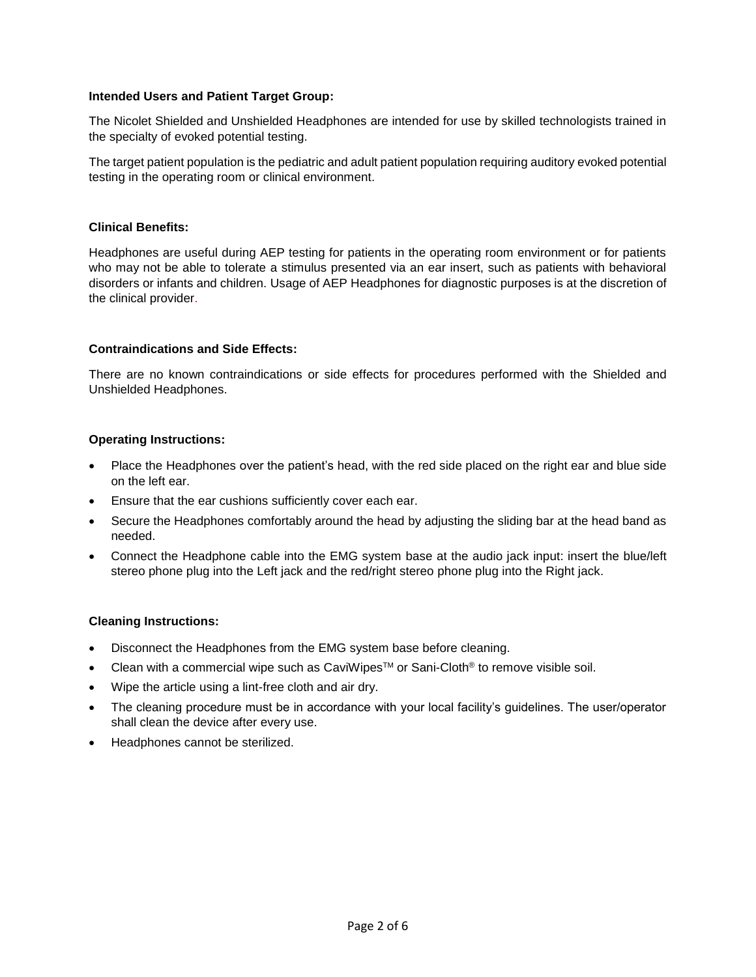## **Intended Users and Patient Target Group:**

The Nicolet Shielded and Unshielded Headphones are intended for use by skilled technologists trained in the specialty of evoked potential testing.

The target patient population is the pediatric and adult patient population requiring auditory evoked potential testing in the operating room or clinical environment.

#### **Clinical Benefits:**

Headphones are useful during AEP testing for patients in the operating room environment or for patients who may not be able to tolerate a stimulus presented via an ear insert, such as patients with behavioral disorders or infants and children. Usage of AEP Headphones for diagnostic purposes is at the discretion of the clinical provider.

## **Contraindications and Side Effects:**

There are no known contraindications or side effects for procedures performed with the Shielded and Unshielded Headphones.

## **Operating Instructions:**

- Place the Headphones over the patient's head, with the red side placed on the right ear and blue side on the left ear.
- Ensure that the ear cushions sufficiently cover each ear.
- Secure the Headphones comfortably around the head by adjusting the sliding bar at the head band as needed.
- Connect the Headphone cable into the EMG system base at the audio jack input: insert the blue/left stereo phone plug into the Left jack and the red/right stereo phone plug into the Right jack.

#### **Cleaning Instructions:**

- Disconnect the Headphones from the EMG system base before cleaning.
- Clean with a commercial wipe such as CaviWipes<sup>TM</sup> or Sani-Cloth<sup>®</sup> to remove visible soil.
- Wipe the article using a lint-free cloth and air dry.
- The cleaning procedure must be in accordance with your local facility's guidelines. The user/operator shall clean the device after every use.
- Headphones cannot be sterilized.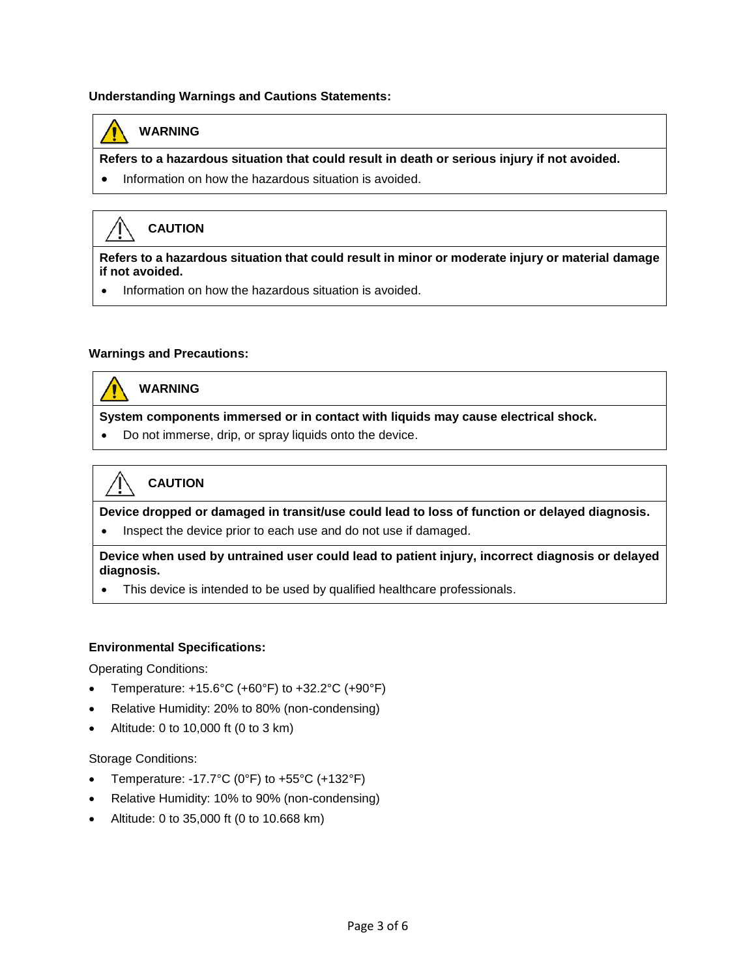## **Understanding Warnings and Cautions Statements:**



## **WARNING**

**Refers to a hazardous situation that could result in death or serious injury if not avoided.** 

• Information on how the hazardous situation is avoided.



## **CAUTION**

**Refers to a hazardous situation that could result in minor or moderate injury or material damage if not avoided.**

• Information on how the hazardous situation is avoided.

## **Warnings and Precautions:**



## **WARNING**

**System components immersed or in contact with liquids may cause electrical shock.**

• Do not immerse, drip, or spray liquids onto the device.



**Device dropped or damaged in transit/use could lead to loss of function or delayed diagnosis.** • Inspect the device prior to each use and do not use if damaged.

**Device when used by untrained user could lead to patient injury, incorrect diagnosis or delayed diagnosis.**

This device is intended to be used by qualified healthcare professionals.

#### **Environmental Specifications:**

Operating Conditions:

- Temperature:  $+15.6^{\circ}$ C (+60°F) to  $+32.2^{\circ}$ C (+90°F)
- Relative Humidity: 20% to 80% (non-condensing)
- Altitude: 0 to 10,000 ft (0 to 3 km)

#### Storage Conditions:

- Temperature: -17.7°C (0°F) to  $+55$ °C (+132°F)
- Relative Humidity: 10% to 90% (non-condensing)
- Altitude: 0 to 35,000 ft (0 to 10.668 km)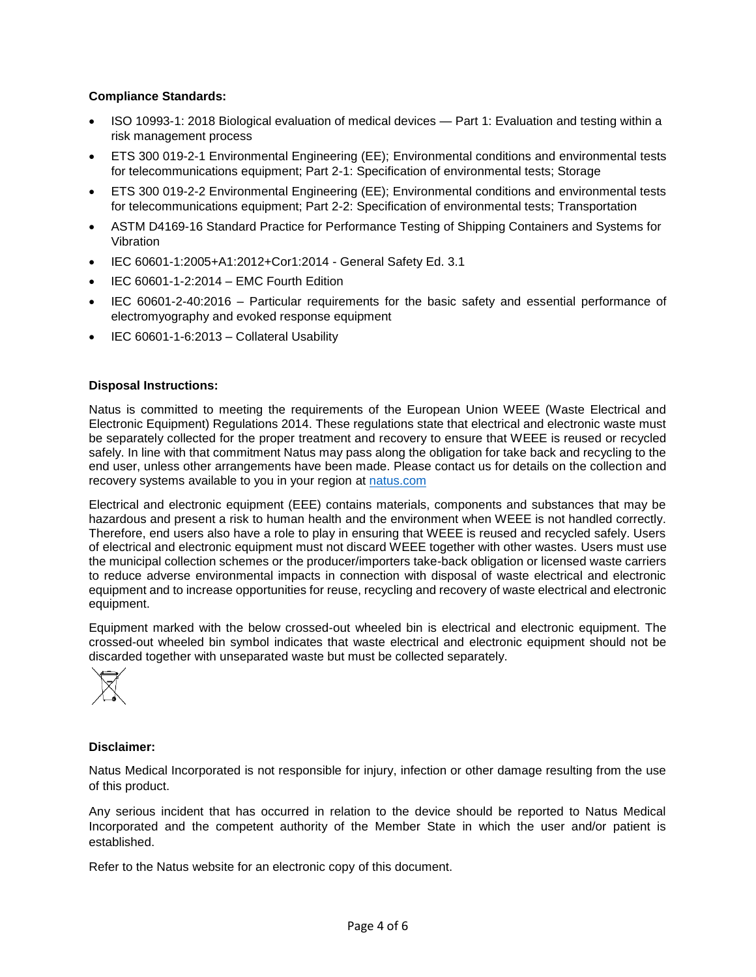## **Compliance Standards:**

- ISO 10993-1: 2018 Biological evaluation of medical devices Part 1: Evaluation and testing within a risk management process
- ETS 300 019-2-1 Environmental Engineering (EE); Environmental conditions and environmental tests for telecommunications equipment; Part 2-1: Specification of environmental tests; Storage
- ETS 300 019-2-2 Environmental Engineering (EE); Environmental conditions and environmental tests for telecommunications equipment; Part 2-2: Specification of environmental tests; Transportation
- ASTM D4169-16 Standard Practice for Performance Testing of Shipping Containers and Systems for Vibration
- IEC 60601-1:2005+A1:2012+Cor1:2014 General Safety Ed. 3.1
- IEC 60601-1-2:2014 EMC Fourth Edition
- IEC 60601-2-40:2016 Particular requirements for the basic safety and essential performance of electromyography and evoked response equipment
- IEC 60601-1-6:2013 Collateral Usability

## **Disposal Instructions:**

Natus is committed to meeting the requirements of the European Union WEEE (Waste Electrical and Electronic Equipment) Regulations 2014. These regulations state that electrical and electronic waste must be separately collected for the proper treatment and recovery to ensure that WEEE is reused or recycled safely. In line with that commitment Natus may pass along the obligation for take back and recycling to the end user, unless other arrangements have been made. Please contact us for details on the collection and recovery systems available to you in your region at [natus.com](https://natus.com/)

Electrical and electronic equipment (EEE) contains materials, components and substances that may be hazardous and present a risk to human health and the environment when WEEE is not handled correctly. Therefore, end users also have a role to play in ensuring that WEEE is reused and recycled safely. Users of electrical and electronic equipment must not discard WEEE together with other wastes. Users must use the municipal collection schemes or the producer/importers take-back obligation or licensed waste carriers to reduce adverse environmental impacts in connection with disposal of waste electrical and electronic equipment and to increase opportunities for reuse, recycling and recovery of waste electrical and electronic equipment.

Equipment marked with the below crossed-out wheeled bin is electrical and electronic equipment. The crossed-out wheeled bin symbol indicates that waste electrical and electronic equipment should not be discarded together with unseparated waste but must be collected separately.



#### **Disclaimer:**

Natus Medical Incorporated is not responsible for injury, infection or other damage resulting from the use of this product.

Any serious incident that has occurred in relation to the device should be reported to Natus Medical Incorporated and the competent authority of the Member State in which the user and/or patient is established.

Refer to the Natus website for an electronic copy of this document.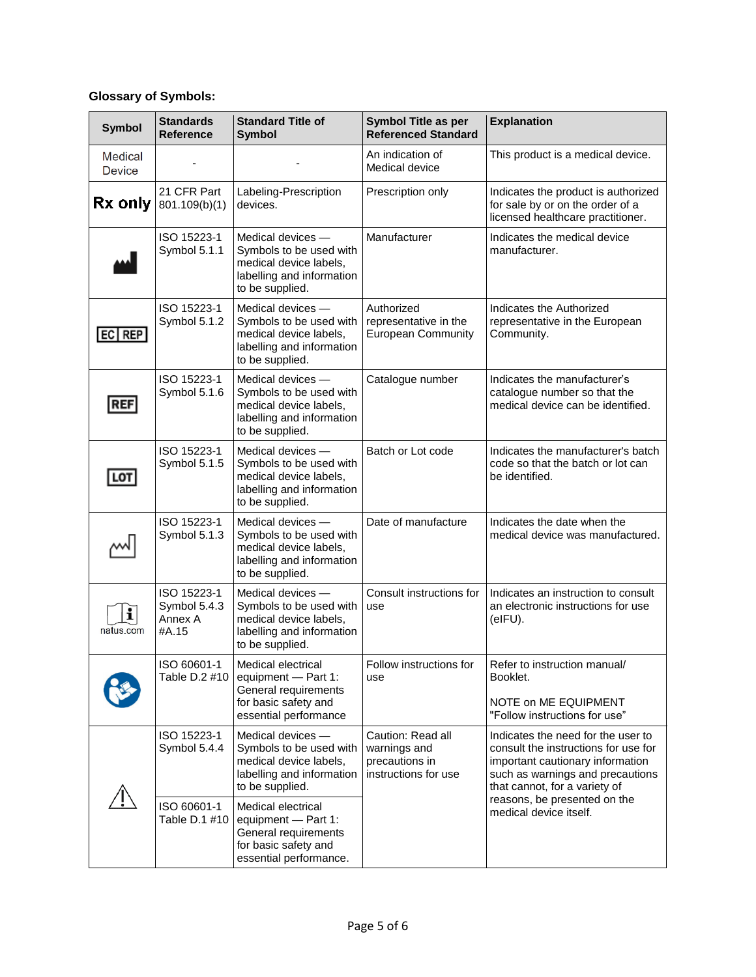## **Glossary of Symbols:**

| <b>Symbol</b>                   | <b>Standards</b><br><b>Reference</b>            | <b>Standard Title of</b><br><b>Symbol</b>                                                                              | <b>Symbol Title as per</b><br><b>Referenced Standard</b>                    | <b>Explanation</b>                                                                                                                                                                                                                            |
|---------------------------------|-------------------------------------------------|------------------------------------------------------------------------------------------------------------------------|-----------------------------------------------------------------------------|-----------------------------------------------------------------------------------------------------------------------------------------------------------------------------------------------------------------------------------------------|
| <b>Medical</b><br><b>Device</b> |                                                 |                                                                                                                        | An indication of<br>Medical device                                          | This product is a medical device.                                                                                                                                                                                                             |
| Rx only                         | 21 CFR Part<br>801.109(b)(1)                    | Labeling-Prescription<br>devices.                                                                                      | Prescription only                                                           | Indicates the product is authorized<br>for sale by or on the order of a<br>licensed healthcare practitioner.                                                                                                                                  |
|                                 | ISO 15223-1<br>Symbol 5.1.1                     | Medical devices -<br>Symbols to be used with<br>medical device labels,<br>labelling and information<br>to be supplied. | Manufacturer                                                                | Indicates the medical device<br>manufacturer.                                                                                                                                                                                                 |
| EC REP                          | ISO 15223-1<br>Symbol 5.1.2                     | Medical devices -<br>Symbols to be used with<br>medical device labels,<br>labelling and information<br>to be supplied. | Authorized<br>representative in the<br><b>European Community</b>            | Indicates the Authorized<br>representative in the European<br>Community.                                                                                                                                                                      |
| <b>REF</b>                      | ISO 15223-1<br>Symbol 5.1.6                     | Medical devices -<br>Symbols to be used with<br>medical device labels,<br>labelling and information<br>to be supplied. | Catalogue number                                                            | Indicates the manufacturer's<br>catalogue number so that the<br>medical device can be identified.                                                                                                                                             |
| LOT                             | ISO 15223-1<br>Symbol 5.1.5                     | Medical devices -<br>Symbols to be used with<br>medical device labels,<br>labelling and information<br>to be supplied. | Batch or Lot code                                                           | Indicates the manufacturer's batch<br>code so that the batch or lot can<br>be identified.                                                                                                                                                     |
|                                 | ISO 15223-1<br>Symbol 5.1.3                     | Medical devices -<br>Symbols to be used with<br>medical device labels,<br>labelling and information<br>to be supplied. | Date of manufacture                                                         | Indicates the date when the<br>medical device was manufactured.                                                                                                                                                                               |
| i<br>natus.com                  | ISO 15223-1<br>Symbol 5.4.3<br>Annex A<br>#A.15 | Medical devices -<br>Symbols to be used with<br>medical device labels,<br>labelling and information<br>to be supplied. | Consult instructions for<br>use                                             | Indicates an instruction to consult<br>an electronic instructions for use<br>(eIFU).                                                                                                                                                          |
|                                 | ISO 60601-1<br>Table D.2 #10                    | Medical electrical<br>equipment - Part 1:<br>General requirements<br>for basic safety and<br>essential performance     | Follow instructions for<br>use                                              | Refer to instruction manual/<br>Booklet.<br>NOTE on ME EQUIPMENT<br>"Follow instructions for use"                                                                                                                                             |
|                                 | ISO 15223-1<br>Symbol 5.4.4                     | Medical devices -<br>Symbols to be used with<br>medical device labels,<br>labelling and information<br>to be supplied. | Caution: Read all<br>warnings and<br>precautions in<br>instructions for use | Indicates the need for the user to<br>consult the instructions for use for<br>important cautionary information<br>such as warnings and precautions<br>that cannot, for a variety of<br>reasons, be presented on the<br>medical device itself. |
|                                 | ISO 60601-1<br>Table D.1 #10                    | Medical electrical<br>equipment - Part 1:<br>General requirements<br>for basic safety and<br>essential performance.    |                                                                             |                                                                                                                                                                                                                                               |